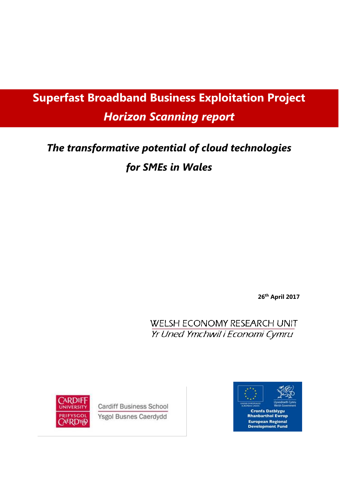# **Superfast Broadband Business Exploitation Project** *Horizon Scanning report*

# *The transformative potential of cloud technologies for SMEs in Wales*

**26th April 2017**

**WELSH ECONOMY RESEARCH UNIT** Yr Uned Ymchwil i Economi Cymru



**Cardiff Business School Ysgol Busnes Caerdydd** 

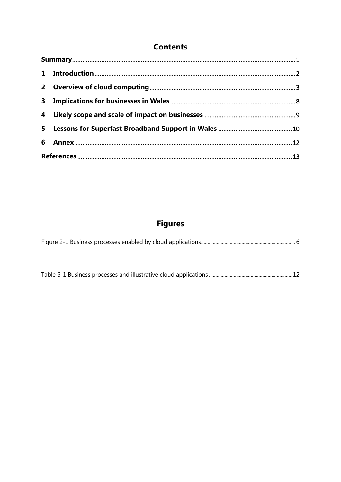## **Contents**

## **Figures**

|--|--|--|

|--|--|--|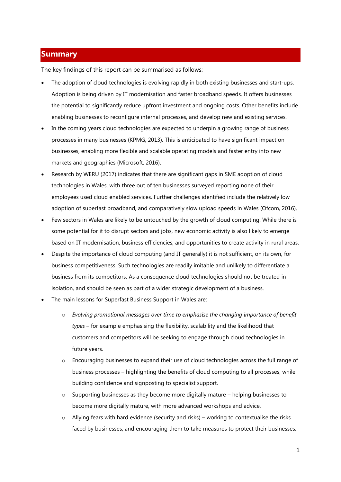### <span id="page-2-0"></span>**Summary**

The key findings of this report can be summarised as follows:

- The adoption of cloud technologies is evolving rapidly in both existing businesses and start-ups. Adoption is being driven by IT modernisation and faster broadband speeds. It offers businesses the potential to significantly reduce upfront investment and ongoing costs. Other benefits include enabling businesses to reconfigure internal processes, and develop new and existing services.
- In the coming years cloud technologies are expected to underpin a growing range of business processes in many businesses (KPMG, 2013). This is anticipated to have significant impact on businesses, enabling more flexible and scalable operating models and faster entry into new markets and geographies (Microsoft, 2016).
- Research by WERU (2017) indicates that there are significant gaps in SME adoption of cloud technologies in Wales, with three out of ten businesses surveyed reporting none of their employees used cloud enabled services. Further challenges identified include the relatively low adoption of superfast broadband, and comparatively slow upload speeds in Wales (Ofcom, 2016).
- Few sectors in Wales are likely to be untouched by the growth of cloud computing. While there is some potential for it to disrupt sectors and jobs, new economic activity is also likely to emerge based on IT modernisation, business efficiencies, and opportunities to create activity in rural areas.
- Despite the importance of cloud computing (and IT generally) it is not sufficient, on its own, for business competitiveness. Such technologies are readily imitable and unlikely to differentiate a business from its competitors. As a consequence cloud technologies should not be treated in isolation, and should be seen as part of a wider strategic development of a business.
- The main lessons for Superfast Business Support in Wales are:
	- o *Evolving promotional messages over time to emphasise the changing importance of benefit types* – for example emphasising the flexibility, scalability and the likelihood that customers and competitors will be seeking to engage through cloud technologies in future years.
	- o Encouraging businesses to expand their use of cloud technologies across the full range of business processes – highlighting the benefits of cloud computing to all processes, while building confidence and signposting to specialist support.
	- o Supporting businesses as they become more digitally mature helping businesses to become more digitally mature, with more advanced workshops and advice.
	- $\circ$  Allying fears with hard evidence (security and risks) working to contextualise the risks faced by businesses, and encouraging them to take measures to protect their businesses.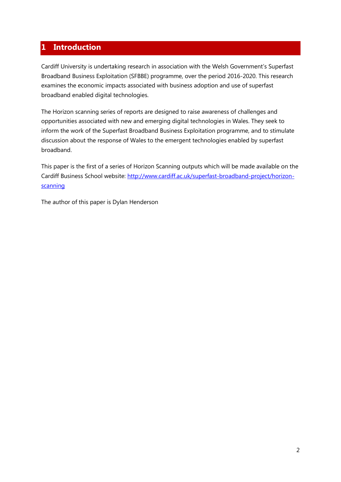## <span id="page-3-0"></span>**1 Introduction**

Cardiff University is undertaking research in association with the Welsh Government's Superfast Broadband Business Exploitation (SFBBE) programme, over the period 2016-2020. This research examines the economic impacts associated with business adoption and use of superfast broadband enabled digital technologies.

The Horizon scanning series of reports are designed to raise awareness of challenges and opportunities associated with new and emerging digital technologies in Wales. They seek to inform the work of the Superfast Broadband Business Exploitation programme, and to stimulate discussion about the response of Wales to the emergent technologies enabled by superfast broadband.

This paper is the first of a series of Horizon Scanning outputs which will be made available on the Cardiff Business School website: [http://www.cardiff.ac.uk/superfast-broadband-project/horizon](http://www.cardiff.ac.uk/superfast-broadband-project/horizon-scanning)[scanning](http://www.cardiff.ac.uk/superfast-broadband-project/horizon-scanning)

The author of this paper is Dylan Henderson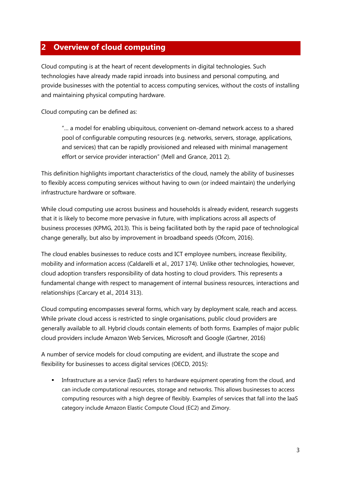## <span id="page-4-0"></span>**2 Overview of cloud computing**

Cloud computing is at the heart of recent developments in digital technologies. Such technologies have already made rapid inroads into business and personal computing, and provide businesses with the potential to access computing services, without the costs of installing and maintaining physical computing hardware.

Cloud computing can be defined as:

"… a model for enabling ubiquitous, convenient on-demand network access to a shared pool of configurable computing resources (e.g. networks, servers, storage, applications, and services) that can be rapidly provisioned and released with minimal management effort or service provider interaction" (Mell and Grance, 2011 2).

This definition highlights important characteristics of the cloud, namely the ability of businesses to flexibly access computing services without having to own (or indeed maintain) the underlying infrastructure hardware or software.

While cloud computing use across business and households is already evident, research suggests that it is likely to become more pervasive in future, with implications across all aspects of business processes (KPMG, 2013). This is being facilitated both by the rapid pace of technological change generally, but also by improvement in broadband speeds (Ofcom, 2016).

The cloud enables businesses to reduce costs and ICT employee numbers, increase flexibility, mobility and information access (Caldarelli et al., 2017 174). Unlike other technologies, however, cloud adoption transfers responsibility of data hosting to cloud providers. This represents a fundamental change with respect to management of internal business resources, interactions and relationships (Carcary et al., 2014 313).

Cloud computing encompasses several forms, which vary by deployment scale, reach and access. While private cloud access is restricted to single organisations, public cloud providers are generally available to all. Hybrid clouds contain elements of both forms. Examples of major public cloud providers include Amazon Web Services, Microsoft and Google (Gartner, 2016)

A number of service models for cloud computing are evident, and illustrate the scope and flexibility for businesses to access digital services (OECD, 2015):

 Infrastructure as a service (IaaS) refers to hardware equipment operating from the cloud, and can include computational resources, storage and networks. This allows businesses to access computing resources with a high degree of flexibly. Examples of services that fall into the IaaS category include Amazon Elastic Compute Cloud (EC2) and Zimory.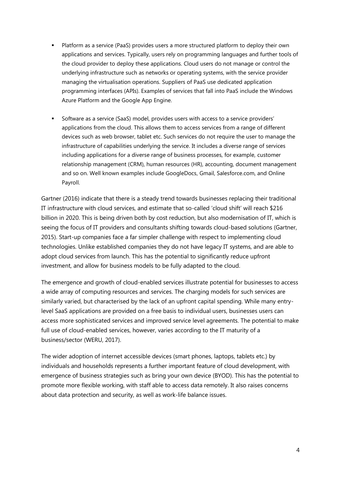- Platform as a service (PaaS) provides users a more structured platform to deploy their own applications and services. Typically, users rely on programming languages and further tools of the cloud provider to deploy these applications. Cloud users do not manage or control the underlying infrastructure such as networks or operating systems, with the service provider managing the virtualisation operations. Suppliers of PaaS use dedicated application programming interfaces (APIs). Examples of services that fall into PaaS include the Windows Azure Platform and the Google App Engine.
- Software as a service (SaaS) model, provides users with access to a service providers' applications from the cloud. This allows them to access services from a range of different devices such as web browser, tablet etc. Such services do not require the user to manage the infrastructure of capabilities underlying the service. It includes a diverse range of services including applications for a diverse range of business processes, for example, customer relationship management (CRM), human resources (HR), accounting, document management and so on. Well known examples include GoogleDocs, Gmail, Salesforce.com, and Online Payroll.

Gartner (2016) indicate that there is a steady trend towards businesses replacing their traditional IT infrastructure with cloud services, and estimate that so-called 'cloud shift' will reach \$216 billion in 2020. This is being driven both by cost reduction, but also modernisation of IT, which is seeing the focus of IT providers and consultants shifting towards cloud-based solutions (Gartner, 2015). Start-up companies face a far simpler challenge with respect to implementing cloud technologies. Unlike established companies they do not have legacy IT systems, and are able to adopt cloud services from launch. This has the potential to significantly reduce upfront investment, and allow for business models to be fully adapted to the cloud.

The emergence and growth of cloud-enabled services illustrate potential for businesses to access a wide array of computing resources and services. The charging models for such services are similarly varied, but characterised by the lack of an upfront capital spending. While many entrylevel SaaS applications are provided on a free basis to individual users, businesses users can access more sophisticated services and improved service level agreements. The potential to make full use of cloud-enabled services, however, varies according to the IT maturity of a business/sector (WERU, 2017).

The wider adoption of internet accessible devices (smart phones, laptops, tablets etc.) by individuals and households represents a further important feature of cloud development, with emergence of business strategies such as bring your own device (BYOD). This has the potential to promote more flexible working, with staff able to access data remotely. It also raises concerns about data protection and security, as well as work-life balance issues.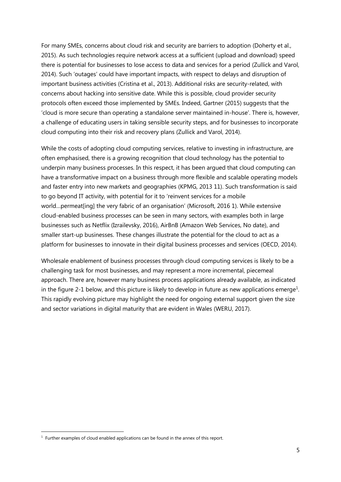For many SMEs, concerns about cloud risk and security are barriers to adoption (Doherty et al., 2015). As such technologies require network access at a sufficient (upload and download) speed there is potential for businesses to lose access to data and services for a period (Zullick and Varol, 2014). Such 'outages' could have important impacts, with respect to delays and disruption of important business activities (Cristina et al., 2013). Additional risks are security-related, with concerns about hacking into sensitive date. While this is possible, cloud provider security protocols often exceed those implemented by SMEs. Indeed, Gartner (2015) suggests that the 'cloud is more secure than operating a standalone server maintained in-house'. There is, however, a challenge of educating users in taking sensible security steps, and for businesses to incorporate cloud computing into their risk and recovery plans (Zullick and Varol, 2014).

While the costs of adopting cloud computing services, relative to investing in infrastructure, are often emphasised, there is a growing recognition that cloud technology has the potential to underpin many business processes. In this respect, it has been argued that cloud computing can have a transformative impact on a business through more flexible and scalable operating models and faster entry into new markets and geographies (KPMG, 2013 11). Such transformation is said to go beyond IT activity, with potential for it to 'reinvent services for a mobile world…permeat[ing] the very fabric of an organisation' (Microsoft, 2016 1). While extensive cloud-enabled business processes can be seen in many sectors, with examples both in large businesses such as Netflix (Izrailevsky, 2016), AirBnB (Amazon Web Services, No date), and smaller start-up businesses. These changes illustrate the potential for the cloud to act as a platform for businesses to innovate in their digital business processes and services (OECD, 2014).

Wholesale enablement of business processes through cloud computing services is likely to be a challenging task for most businesses, and may represent a more incremental, piecemeal approach. There are, however many business process applications already available, as indicated in the figure 2-1 below, and this picture is likely to develop in future as new applications emerge<sup>1</sup>. This rapidly evolving picture may highlight the need for ongoing external support given the size and sector variations in digital maturity that are evident in Wales (WERU, 2017).

-

 $<sup>1</sup>$  Further examples of cloud enabled applications can be found in the annex of this report.</sup>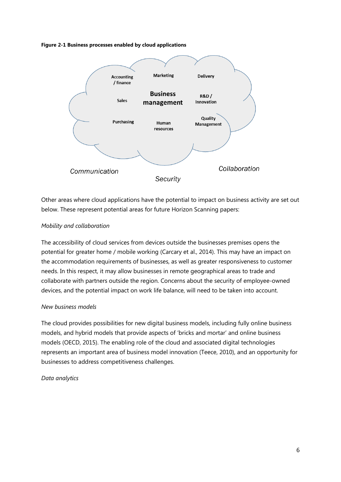<span id="page-7-0"></span>**Figure 2-1 Business processes enabled by cloud applications**



Other areas where cloud applications have the potential to impact on business activity are set out below. These represent potential areas for future Horizon Scanning papers:

#### *Mobility and collaboration*

The accessibility of cloud services from devices outside the businesses premises opens the potential for greater home / mobile working (Carcary et al., 2014). This may have an impact on the accommodation requirements of businesses, as well as greater responsiveness to customer needs. In this respect, it may allow businesses in remote geographical areas to trade and collaborate with partners outside the region. Concerns about the security of employee-owned devices, and the potential impact on work life balance, will need to be taken into account.

#### *New business models*

The cloud provides possibilities for new digital business models, including fully online business models, and hybrid models that provide aspects of 'bricks and mortar' and online business models (OECD, 2015). The enabling role of the cloud and associated digital technologies represents an important area of business model innovation (Teece, 2010), and an opportunity for businesses to address competitiveness challenges.

#### *Data analytics*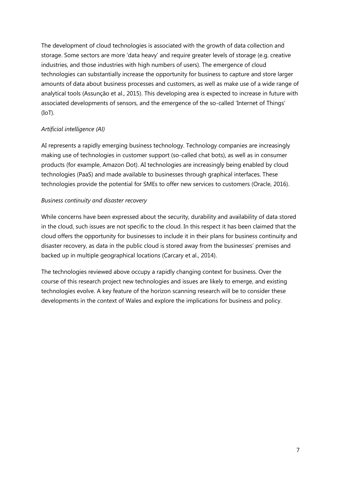The development of cloud technologies is associated with the growth of data collection and storage. Some sectors are more 'data heavy' and require greater levels of storage (e.g. creative industries, and those industries with high numbers of users). The emergence of cloud technologies can substantially increase the opportunity for business to capture and store larger amounts of data about business processes and customers, as well as make use of a wide range of analytical tools (Assunção et al., 2015). This developing area is expected to increase in future with associated developments of sensors, and the emergence of the so-called 'Internet of Things' (IoT).

#### *Artificial intelligence (AI)*

AI represents a rapidly emerging business technology. Technology companies are increasingly making use of technologies in customer support (so-called chat bots), as well as in consumer products (for example, Amazon Dot). AI technologies are increasingly being enabled by cloud technologies (PaaS) and made available to businesses through graphical interfaces. These technologies provide the potential for SMEs to offer new services to customers (Oracle, 2016).

#### *Business continuity and disaster recovery*

While concerns have been expressed about the security, durability and availability of data stored in the cloud, such issues are not specific to the cloud. In this respect it has been claimed that the cloud offers the opportunity for businesses to include it in their plans for business continuity and disaster recovery, as data in the public cloud is stored away from the businesses' premises and backed up in multiple geographical locations (Carcary et al., 2014).

The technologies reviewed above occupy a rapidly changing context for business. Over the course of this research project new technologies and issues are likely to emerge, and existing technologies evolve. A key feature of the horizon scanning research will be to consider these developments in the context of Wales and explore the implications for business and policy.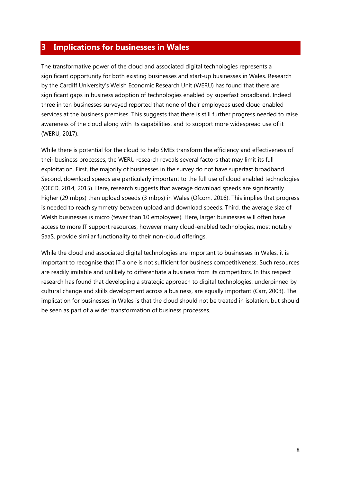## <span id="page-9-0"></span>**3 Implications for businesses in Wales**

The transformative power of the cloud and associated digital technologies represents a significant opportunity for both existing businesses and start-up businesses in Wales. Research by the Cardiff University's Welsh Economic Research Unit (WERU) has found that there are significant gaps in business adoption of technologies enabled by superfast broadband. Indeed three in ten businesses surveyed reported that none of their employees used cloud enabled services at the business premises. This suggests that there is still further progress needed to raise awareness of the cloud along with its capabilities, and to support more widespread use of it (WERU, 2017).

While there is potential for the cloud to help SMEs transform the efficiency and effectiveness of their business processes, the WERU research reveals several factors that may limit its full exploitation. First, the majority of businesses in the survey do not have superfast broadband. Second, download speeds are particularly important to the full use of cloud enabled technologies (OECD, 2014, 2015). Here, research suggests that average download speeds are significantly higher (29 mbps) than upload speeds (3 mbps) in Wales (Ofcom, 2016). This implies that progress is needed to reach symmetry between upload and download speeds. Third, the average size of Welsh businesses is micro (fewer than 10 employees). Here, larger businesses will often have access to more IT support resources, however many cloud-enabled technologies, most notably SaaS, provide similar functionality to their non-cloud offerings.

While the cloud and associated digital technologies are important to businesses in Wales, it is important to recognise that IT alone is not sufficient for business competitiveness. Such resources are readily imitable and unlikely to differentiate a business from its competitors. In this respect research has found that developing a strategic approach to digital technologies, underpinned by cultural change and skills development across a business, are equally important (Carr, 2003). The implication for businesses in Wales is that the cloud should not be treated in isolation, but should be seen as part of a wider transformation of business processes.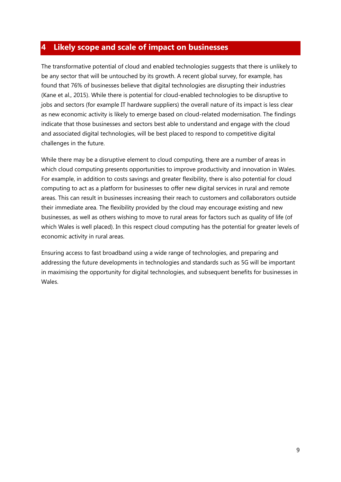## <span id="page-10-0"></span>**4 Likely scope and scale of impact on businesses**

The transformative potential of cloud and enabled technologies suggests that there is unlikely to be any sector that will be untouched by its growth. A recent global survey, for example, has found that 76% of businesses believe that digital technologies are disrupting their industries (Kane et al., 2015). While there is potential for cloud-enabled technologies to be disruptive to jobs and sectors (for example IT hardware suppliers) the overall nature of its impact is less clear as new economic activity is likely to emerge based on cloud-related modernisation. The findings indicate that those businesses and sectors best able to understand and engage with the cloud and associated digital technologies, will be best placed to respond to competitive digital challenges in the future.

While there may be a disruptive element to cloud computing, there are a number of areas in which cloud computing presents opportunities to improve productivity and innovation in Wales. For example, in addition to costs savings and greater flexibility, there is also potential for cloud computing to act as a platform for businesses to offer new digital services in rural and remote areas. This can result in businesses increasing their reach to customers and collaborators outside their immediate area. The flexibility provided by the cloud may encourage existing and new businesses, as well as others wishing to move to rural areas for factors such as quality of life (of which Wales is well placed). In this respect cloud computing has the potential for greater levels of economic activity in rural areas.

Ensuring access to fast broadband using a wide range of technologies, and preparing and addressing the future developments in technologies and standards such as 5G will be important in maximising the opportunity for digital technologies, and subsequent benefits for businesses in Wales.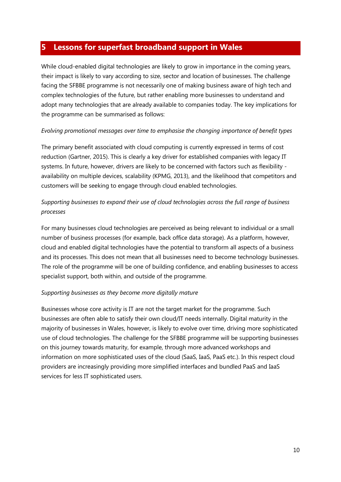## <span id="page-11-0"></span>**5 Lessons for superfast broadband support in Wales**

While cloud-enabled digital technologies are likely to grow in importance in the coming years, their impact is likely to vary according to size, sector and location of businesses. The challenge facing the SFBBE programme is not necessarily one of making business aware of high tech and complex technologies of the future, but rather enabling more businesses to understand and adopt many technologies that are already available to companies today. The key implications for the programme can be summarised as follows:

#### *Evolving promotional messages over time to emphasise the changing importance of benefit types*

The primary benefit associated with cloud computing is currently expressed in terms of cost reduction (Gartner, 2015). This is clearly a key driver for established companies with legacy IT systems. In future, however, drivers are likely to be concerned with factors such as flexibility availability on multiple devices, scalability (KPMG, 2013), and the likelihood that competitors and customers will be seeking to engage through cloud enabled technologies.

### *Supporting businesses to expand their use of cloud technologies across the full range of business processes*

For many businesses cloud technologies are perceived as being relevant to individual or a small number of business processes (for example, back office data storage). As a platform, however, cloud and enabled digital technologies have the potential to transform all aspects of a business and its processes. This does not mean that all businesses need to become technology businesses. The role of the programme will be one of building confidence, and enabling businesses to access specialist support, both within, and outside of the programme.

#### *Supporting businesses as they become more digitally mature*

Businesses whose core activity is IT are not the target market for the programme. Such businesses are often able to satisfy their own cloud/IT needs internally. Digital maturity in the majority of businesses in Wales, however, is likely to evolve over time, driving more sophisticated use of cloud technologies. The challenge for the SFBBE programme will be supporting businesses on this journey towards maturity, for example, through more advanced workshops and information on more sophisticated uses of the cloud (SaaS, IaaS, PaaS etc.). In this respect cloud providers are increasingly providing more simplified interfaces and bundled PaaS and IaaS services for less IT sophisticated users.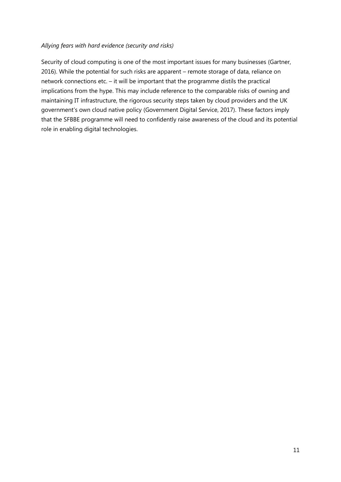#### *Allying fears with hard evidence (security and risks)*

Security of cloud computing is one of the most important issues for many businesses (Gartner, 2016). While the potential for such risks are apparent – remote storage of data, reliance on network connections etc. – it will be important that the programme distils the practical implications from the hype. This may include reference to the comparable risks of owning and maintaining IT infrastructure, the rigorous security steps taken by cloud providers and the UK government's own cloud native policy (Government Digital Service, 2017). These factors imply that the SFBBE programme will need to confidently raise awareness of the cloud and its potential role in enabling digital technologies.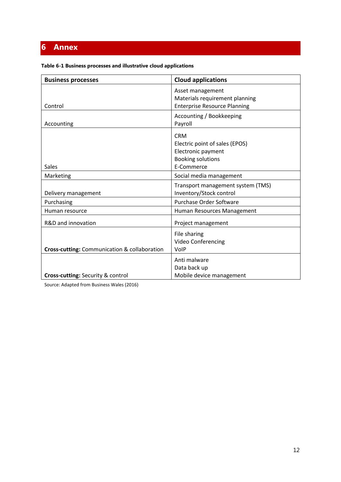## <span id="page-13-0"></span>**6 Annex**

<span id="page-13-1"></span>

| Table 6-1 Business processes and illustrative cloud applications |  |  |  |  |
|------------------------------------------------------------------|--|--|--|--|
|------------------------------------------------------------------|--|--|--|--|

| <b>Business processes</b>                    | <b>Cloud applications</b>                                                                                    |
|----------------------------------------------|--------------------------------------------------------------------------------------------------------------|
| Control                                      | Asset management<br>Materials requirement planning<br><b>Enterprise Resource Planning</b>                    |
| Accounting                                   | Accounting / Bookkeeping<br>Payroll                                                                          |
| Sales                                        | <b>CRM</b><br>Electric point of sales (EPOS)<br>Electronic payment<br><b>Booking solutions</b><br>E-Commerce |
| Marketing                                    | Social media management                                                                                      |
| Delivery management                          | Transport management system (TMS)<br>Inventory/Stock control                                                 |
| Purchasing                                   | Purchase Order Software                                                                                      |
| Human resource                               | Human Resources Management                                                                                   |
| R&D and innovation                           | Project management                                                                                           |
| Cross-cutting: Communication & collaboration | File sharing<br>Video Conferencing<br>VolP                                                                   |
| <b>Cross-cutting: Security &amp; control</b> | Anti malware<br>Data back up<br>Mobile device management                                                     |

Source: Adapted from Business Wales (2016)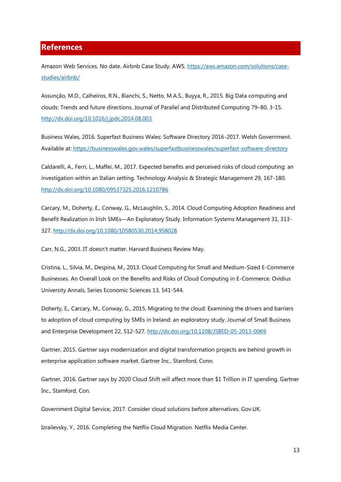#### <span id="page-14-0"></span>**References**

Amazon Web Services, No date. Airbnb Case Study. AWS. [https://aws.amazon.com/solutions/case](https://aws.amazon.com/solutions/case-studies/airbnb/)[studies/airbnb/](https://aws.amazon.com/solutions/case-studies/airbnb/)

Assunção, M.D., Calheiros, R.N., Bianchi, S., Netto, M.A.S., Buyya, R., 2015. Big Data computing and clouds: Trends and future directions. Journal of Parallel and Distributed Computing 79–80, 3-15. http://dx.doi.org/10.1016/j.jpdc.2014.08.003

Business Wales, 2016. Superfast Business Wales: Software Directory 2016-2017. Welsh Government. Available at: https://businesswales.gov.wales/superfastbusinesswales/superfast-software-directory

Caldarelli, A., Ferri, L., Maffei, M., 2017. Expected benefits and perceived risks of cloud computing: an investigation within an Italian setting. Technology Analysis & Strategic Management 29, 167-180. http://dx.doi.org/10.1080/09537325.2016.1210786

Carcary, M., Doherty, E., Conway, G., McLaughlin, S., 2014. Cloud Computing Adoption Readiness and Benefit Realization in Irish SMEs—An Exploratory Study. Information Systems Management 31, 313- 327. http://dx.doi.org/10.1080/10580530.2014.958028

Carr, N.G., 2003. IT doesn't matter. Harvard Business Review May.

Cristina, L., Silvia, M., Despina, M., 2013. Cloud Computing for Small and Medium-Sized E-Commerce Businesses. An Overall Look on the Benefits and Risks of Cloud Computing in E-Commerce. Ovidius University Annals, Series Economic Sciences 13, 541-544.

Doherty, E., Carcary, M., Conway, G., 2015. Migrating to the cloud: Examining the drivers and barriers to adoption of cloud computing by SMEs in Ireland: an exploratory study. Journal of Small Business and Enterprise Development 22, 512-527. http://dx.doi.org/10.1108/JSBED-05-2013-0069

Gartner, 2015. Gartner says modernization and digital transformation projects are behind growth in enterprise application software market. Gartner Inc., Stamford, Conn.

Gartner, 2016. Gartner says by 2020 Cloud Shift will affect more than \$1 Trillion in IT spending. Gartner Inc., Stamford, Con.

Government Digital Service, 2017. Consider cloud solutions before alternatives. Gov.UK.

Izrailevsky, Y., 2016. Completing the Netflix Cloud Migration. Netflix Media Center.